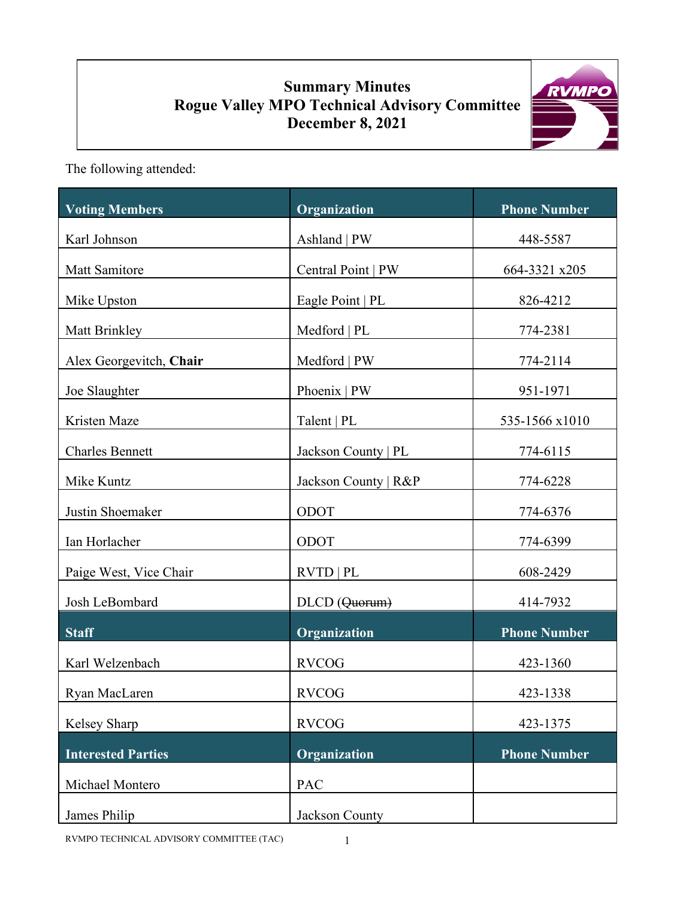# **Summary Minutes Rogue Valley MPO Technical Advisory Committee December 8, 2021**



The following attended:

| <b>Voting Members</b>     | Organization         | <b>Phone Number</b> |
|---------------------------|----------------------|---------------------|
| Karl Johnson              | Ashland   PW         | 448-5587            |
| Matt Samitore             | Central Point   PW   | 664-3321 x205       |
| Mike Upston               | Eagle Point   PL     | 826-4212            |
| Matt Brinkley             | Medford   PL         | 774-2381            |
| Alex Georgevitch, Chair   | Medford   PW         | 774-2114            |
| Joe Slaughter             | Phoenix   PW         | 951-1971            |
| Kristen Maze              | Talent   PL          | 535-1566 x1010      |
| <b>Charles Bennett</b>    | Jackson County   PL  | 774-6115            |
| Mike Kuntz                | Jackson County   R&P | 774-6228            |
| Justin Shoemaker          | ODOT                 | 774-6376            |
| Ian Horlacher             | ODOT                 | 774-6399            |
| Paige West, Vice Chair    | RVTD   PL            | 608-2429            |
| Josh LeBombard            | DLCD (Quorum)        | 414-7932            |
| <b>Staff</b>              | Organization         | <b>Phone Number</b> |
| Karl Welzenbach           | <b>RVCOG</b>         | 423-1360            |
| Ryan MacLaren             | <b>RVCOG</b>         | 423-1338            |
| Kelsey Sharp              | <b>RVCOG</b>         | 423-1375            |
| <b>Interested Parties</b> | Organization         | <b>Phone Number</b> |
| Michael Montero           | PAC                  |                     |
| James Philip              | Jackson County       |                     |

RVMPO TECHNICAL ADVISORY COMMITTEE (TAC) 1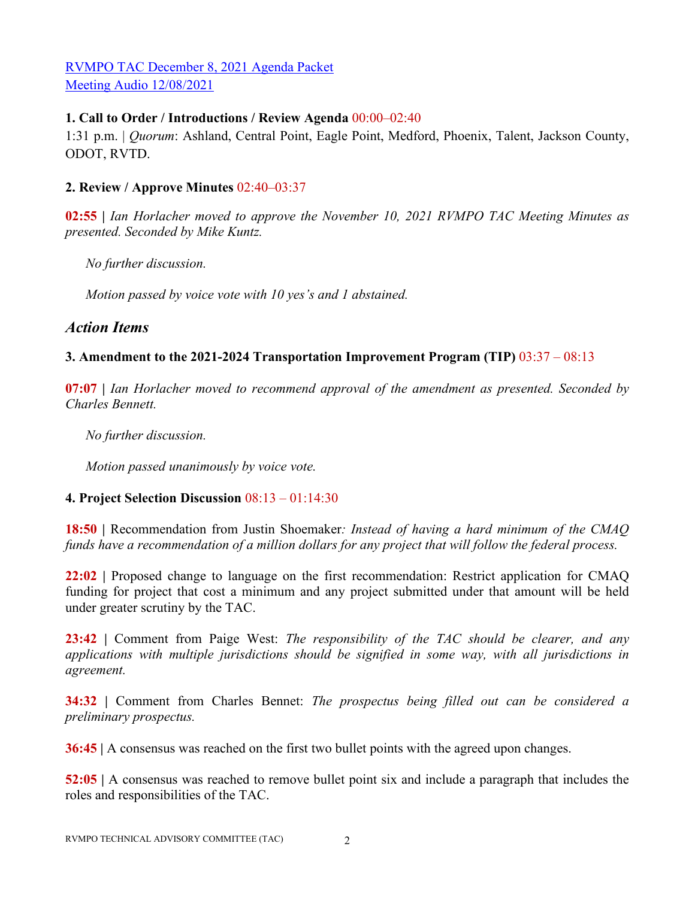[RVMPO TAC December 8, 2021 Agenda Packet](https://rvmpo.org/wp-content/uploads/2019/09/RVMPO-TAC-Agenda-Packet-12-08-2021.pdf) [Meeting Audio 12/08/2021](https://rvmpo.org/wp-content/uploads/2019/09/12_08_21-RVMPO-TAC-Audio.mp3)

### **1. Call to Order / Introductions / Review Agenda** 00:00–02:40

1:31 p.m. | *Quorum*: Ashland, Central Point, Eagle Point, Medford, Phoenix, Talent, Jackson County, ODOT, RVTD.

### **2. Review / Approve Minutes** 02:40–03:37

**02:55 |** *Ian Horlacher moved to approve the November 10, 2021 RVMPO TAC Meeting Minutes as presented. Seconded by Mike Kuntz.*

 *No further discussion.* 

 *Motion passed by voice vote with 10 yes's and 1 abstained.* 

# *Action Items*

## **3. Amendment to the 2021-2024 Transportation Improvement Program (TIP)** 03:37 – 08:13

**07:07 |** *Ian Horlacher moved to recommend approval of the amendment as presented. Seconded by Charles Bennett.* 

 *No further discussion.* 

 *Motion passed unanimously by voice vote.*

### **4. Project Selection Discussion** 08:13 – 01:14:30

**18:50 |** Recommendation from Justin Shoemaker*: Instead of having a hard minimum of the CMAQ funds have a recommendation of a million dollars for any project that will follow the federal process.* 

**22:02 |** Proposed change to language on the first recommendation: Restrict application for CMAQ funding for project that cost a minimum and any project submitted under that amount will be held under greater scrutiny by the TAC.

**23:42 |** Comment from Paige West: *The responsibility of the TAC should be clearer, and any applications with multiple jurisdictions should be signified in some way, with all jurisdictions in agreement.* 

**34:32 |** Comment from Charles Bennet: *The prospectus being filled out can be considered a preliminary prospectus.* 

**36:45 |** A consensus was reached on the first two bullet points with the agreed upon changes.

**52:05 |** A consensus was reached to remove bullet point six and include a paragraph that includes the roles and responsibilities of the TAC.